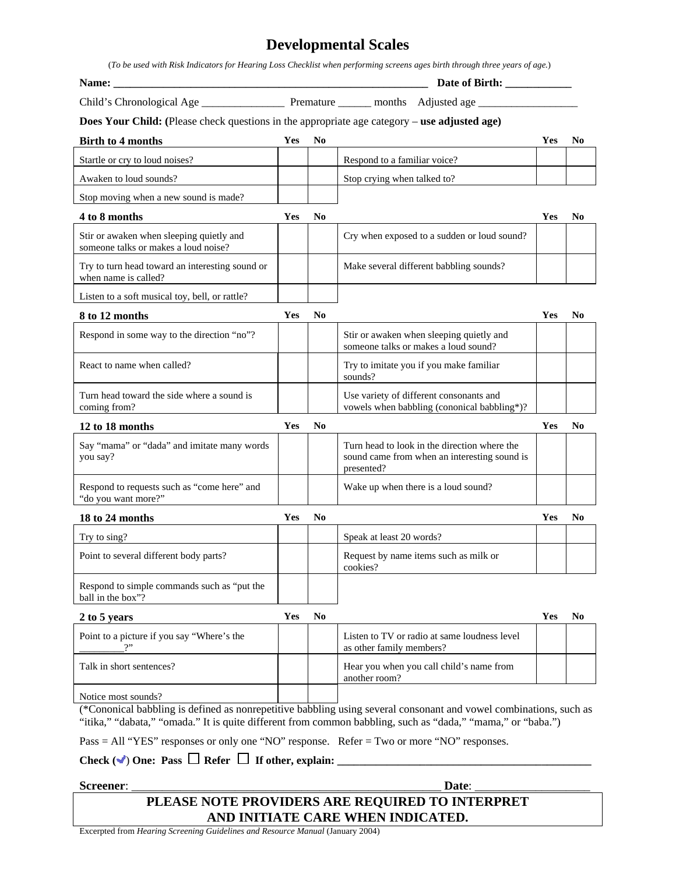## **Developmental Scales**

(*To be used with Risk Indicators for Hearing Loss Checklist when performing screens ages birth through three years of age.*)

| <b>Does Your Child:</b> (Please check questions in the appropriate age category – use adjusted age) |            |                |                                                                                                                   |            |                |
|-----------------------------------------------------------------------------------------------------|------------|----------------|-------------------------------------------------------------------------------------------------------------------|------------|----------------|
| <b>Birth to 4 months</b>                                                                            | Yes        | N <sub>0</sub> |                                                                                                                   | <b>Yes</b> | N <sub>0</sub> |
| Startle or cry to loud noises?                                                                      |            |                | Respond to a familiar voice?                                                                                      |            |                |
| Awaken to loud sounds?                                                                              |            |                | Stop crying when talked to?                                                                                       |            |                |
| Stop moving when a new sound is made?                                                               |            |                |                                                                                                                   |            |                |
| 4 to 8 months                                                                                       | Yes        | No             |                                                                                                                   | Yes        | No             |
| Stir or awaken when sleeping quietly and<br>someone talks or makes a loud noise?                    |            |                | Cry when exposed to a sudden or loud sound?                                                                       |            |                |
| Try to turn head toward an interesting sound or<br>when name is called?                             |            |                | Make several different babbling sounds?                                                                           |            |                |
| Listen to a soft musical toy, bell, or rattle?                                                      |            |                |                                                                                                                   |            |                |
| 8 to 12 months                                                                                      | <b>Yes</b> | N <sub>0</sub> |                                                                                                                   | Yes        | N <sub>0</sub> |
| Respond in some way to the direction "no"?                                                          |            |                | Stir or awaken when sleeping quietly and<br>someone talks or makes a loud sound?                                  |            |                |
| React to name when called?                                                                          |            |                | Try to imitate you if you make familiar<br>sounds?                                                                |            |                |
| Turn head toward the side where a sound is<br>coming from?                                          |            |                | Use variety of different consonants and<br>vowels when babbling (cononical babbling*)?                            |            |                |
| 12 to 18 months                                                                                     | Yes        | N <sub>0</sub> |                                                                                                                   | Yes        | N <sub>0</sub> |
| Say "mama" or "dada" and imitate many words<br>you say?                                             |            |                | Turn head to look in the direction where the<br>sound came from when an interesting sound is<br>presented?        |            |                |
| Respond to requests such as "come here" and<br>"do you want more?"                                  |            |                | Wake up when there is a loud sound?                                                                               |            |                |
| 18 to 24 months                                                                                     | Yes        | N <sub>0</sub> |                                                                                                                   | Yes        | N <sub>0</sub> |
| Try to sing?                                                                                        |            |                | Speak at least 20 words?                                                                                          |            |                |
| Point to several different body parts?                                                              |            |                | Request by name items such as milk or<br>cookies?                                                                 |            |                |
| Respond to simple commands such as "put the<br>ball in the box"?                                    |            |                |                                                                                                                   |            |                |
| 2 to 5 years                                                                                        | Yes        | N <sub>0</sub> |                                                                                                                   | Yes        | N <sub>0</sub> |
| Point to a picture if you say "Where's the                                                          |            |                | Listen to TV or radio at same loudness level<br>as other family members?                                          |            |                |
| Talk in short sentences?                                                                            |            |                | Hear you when you call child's name from<br>another room?                                                         |            |                |
| Notice most sounds?                                                                                 |            |                | (*Cononical babbling is defined as nonrepetitive babbling using several consonant and yowel combinations, such as |            |                |

(\*Cononical babbling is defined as nonrepetitive babbling using several consonant and vowel combinations, such as "itika," "dabata," "omada." It is quite different from common babbling, such as "dada," "mama," or "baba.")

Pass = All "YES" responses or only one "NO" response. Refer = Two or more "NO" responses.

Check  $(\vee)$  One: Pass  $\Box$  Refer  $\Box$  If other, explain:

**Screener**: \_\_\_\_\_\_\_\_\_\_\_\_\_\_\_\_\_\_\_\_\_\_\_\_\_\_\_\_\_\_\_\_\_\_\_\_\_\_\_\_\_\_\_\_\_\_\_\_\_\_\_ **Date**: \_\_\_\_\_\_\_\_\_\_\_\_\_\_\_\_\_\_\_ **PLEASE NOTE PROVIDERS ARE REQUIRED TO INTERPRET AND INITIATE CARE WHEN INDICATED.** 

Excerpted from *Hearing Screening Guidelines and Resource Manual* (January 2004)